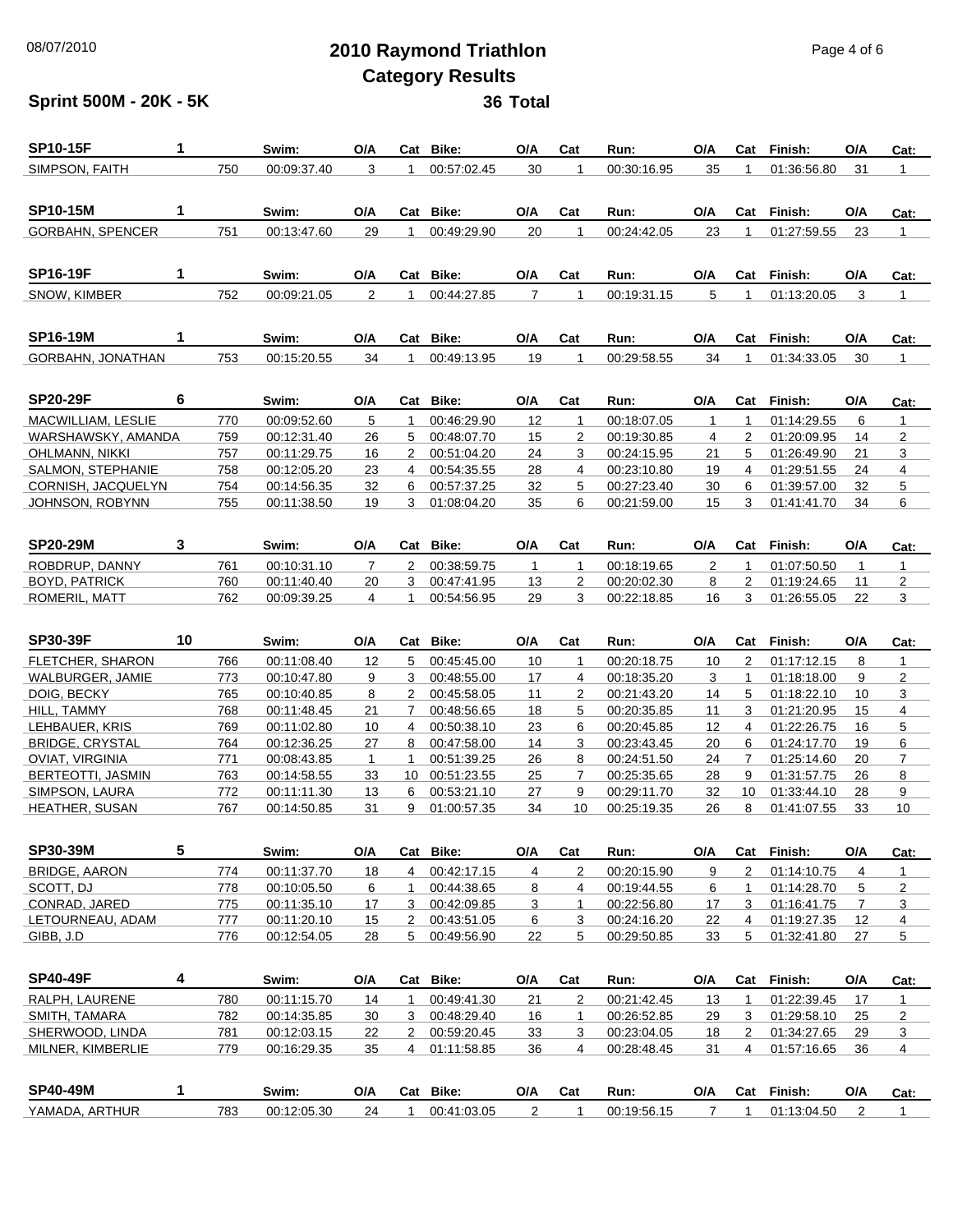## 08/07/2010 **2010 Raymond Triathlon** Page 4 of 6 **Category Results**

### **Sprint 500M - 20K - 5K 36 Total**

| <b>SP10-15F</b>          | 1  |     | Swim:       | O/A            | Cat                  | Bike:          | O/A            | Cat            | Run:        | O/A            | Cat            | Finish:     | O/A | Cat:           |
|--------------------------|----|-----|-------------|----------------|----------------------|----------------|----------------|----------------|-------------|----------------|----------------|-------------|-----|----------------|
| SIMPSON, FAITH           |    | 750 | 00:09:37.40 | 3              | 1                    | 00:57:02.45    | 30             | 1              | 00:30:16.95 | 35             | 1              | 01:36:56.80 | 31  | 1              |
|                          |    |     |             |                |                      |                |                |                |             |                |                |             |     |                |
| <b>SP10-15M</b>          | 1  |     | Swim:       | O/A            |                      | Cat Bike:      | O/A            | Cat            | Run:        | O/A            | Cat            | Finish:     | O/A | Cat:           |
| <b>GORBAHN, SPENCER</b>  |    | 751 | 00:13:47.60 | 29             | 1                    | 00:49:29.90    | 20             | $\mathbf{1}$   | 00:24:42.05 | 23             | 1              | 01:27:59.55 | 23  | $\mathbf{1}$   |
|                          |    |     |             |                |                      |                |                |                |             |                |                |             |     |                |
| <b>SP16-19F</b>          | 1  |     | Swim:       | O/A            |                      | Cat Bike:      | O/A            | Cat            | Run:        | O/A            | Cat            | Finish:     | O/A | Cat:           |
| SNOW, KIMBER             |    | 752 | 00:09:21.05 | $\overline{2}$ | 1                    | 00:44:27.85    | $\overline{7}$ | 1              | 00:19:31.15 | 5              | 1              | 01:13:20.05 | 3   | 1              |
|                          |    |     |             |                |                      |                |                |                |             |                |                |             |     |                |
| <b>SP16-19M</b>          | 1  |     | Swim:       | O/A            |                      | Cat Bike:      | O/A            | Cat            | Run:        | O/A            | Cat            | Finish:     | O/A | Cat:           |
| GORBAHN, JONATHAN        |    | 753 | 00:15:20.55 | 34             | 1                    | 00:49:13.95    | 19             | $\overline{1}$ | 00:29:58.55 | 34             | 1              | 01:34:33.05 | 30  | 1              |
|                          |    |     |             |                |                      |                |                |                |             |                |                |             |     |                |
| <b>SP20-29F</b>          | 6  |     | Swim:       | O/A            |                      | Cat Bike:      | O/A            | Cat            | Run:        | O/A            | Cat            | Finish:     | O/A | Cat:           |
| MACWILLIAM, LESLIE       |    | 770 | 00:09:52.60 | 5              | $\mathbf{1}$         | 00:46:29.90    | 12             | $\mathbf{1}$   | 00:18:07.05 | 1              | $\mathbf{1}$   | 01:14:29.55 | 6   | $\mathbf{1}$   |
| WARSHAWSKY, AMANDA       |    | 759 | 00:12:31.40 | 26             | 5                    | 00:48:07.70    | 15             | 2              | 00:19:30.85 | $\overline{4}$ | $\overline{2}$ | 01:20:09.95 | 14  | $\overline{2}$ |
| OHLMANN, NIKKI           |    | 757 | 00:11:29.75 | 16             | $\mathbf{2}^{\circ}$ | 00:51:04.20    | 24             | 3              | 00:24:15.95 | 21             | 5              | 01:26:49.90 | 21  | 3              |
| SALMON, STEPHANIE        |    | 758 | 00:12:05.20 | 23             | $\overline{4}$       | 00:54:35.55    | 28             | $\overline{4}$ | 00:23:10.80 | 19             | 4              | 01:29:51.55 | 24  | $\overline{4}$ |
| CORNISH, JACQUELYN       |    | 754 | 00:14:56.35 | 32             | 6                    | 00:57:37.25    | 32             | 5              | 00:27:23.40 | 30             | 6              | 01:39:57.00 | 32  | 5              |
| JOHNSON, ROBYNN          |    | 755 | 00:11:38.50 | 19             | 3                    | 01:08:04.20    | 35             | 6              | 00:21:59.00 | 15             | 3              | 01:41:41.70 | 34  | 6              |
|                          |    |     |             |                |                      |                |                |                |             |                |                |             |     |                |
| <b>SP20-29M</b>          | 3  |     | Swim:       | O/A            |                      | Cat Bike:      | O/A            | Cat            | Run:        | O/A            | Cat            | Finish:     | O/A | Cat:           |
| ROBDRUP, DANNY           |    | 761 | 00:10:31.10 | $\overline{7}$ | 2                    | 00:38:59.75    | $\mathbf{1}$   | $\mathbf{1}$   | 00:18:19.65 | $\overline{2}$ | $\mathbf{1}$   | 01:07:50.50 | 1   | $\mathbf{1}$   |
| <b>BOYD, PATRICK</b>     |    | 760 | 00:11:40.40 | 20             | 3                    | 00:47:41.95    | 13             | $\overline{2}$ | 00:20:02.30 | 8              | $\overline{2}$ | 01:19:24.65 | 11  | 2              |
| ROMERIL, MATT            |    | 762 | 00:09:39.25 | $\overline{4}$ | 1                    | 00:54:56.95    | 29             | 3              | 00:22:18.85 | 16             | 3              | 01:26:55.05 | 22  | 3              |
|                          |    |     |             |                |                      |                |                |                |             |                |                |             |     |                |
| <b>SP30-39F</b>          | 10 |     | Swim:       | O/A            |                      | Cat Bike:      | O/A            | Cat            | Run:        | O/A            | Cat            | Finish:     | O/A | Cat:           |
| FLETCHER, SHARON         |    | 766 | 00:11:08.40 | 12             | 5                    | 00:45:45.00    | 10             | $\mathbf{1}$   | 00:20:18.75 | 10             | $\overline{2}$ | 01:17:12.15 | 8   | $\mathbf{1}$   |
| WALBURGER, JAMIE         |    | 773 | 00:10:47.80 | 9              | 3                    | 00:48:55.00    | 17             | $\overline{4}$ | 00:18:35.20 | 3              | 1              | 01:18:18.00 | 9   | 2              |
| DOIG, BECKY              |    | 765 | 00:10:40.85 | 8              | $\overline{2}$       | 00:45:58.05    | 11             | $\overline{2}$ | 00:21:43.20 | 14             | 5              | 01:18:22.10 | 10  | 3              |
| HILL, TAMMY              |    | 768 | 00:11:48.45 | 21             | $\overline{7}$       | 00:48:56.65    | 18             | 5              | 00:20:35.85 | 11             | 3              | 01:21:20.95 | 15  | $\overline{4}$ |
| LEHBAUER, KRIS           |    | 769 | 00:11:02.80 | 10             | $\overline{4}$       | 00:50:38.10    | 23             | 6              | 00:20:45.85 | 12             | 4              | 01:22:26.75 | 16  | 5              |
| <b>BRIDGE, CRYSTAL</b>   |    | 764 | 00:12:36.25 | 27             | 8                    | 00:47:58.00    | 14             | 3              | 00:23:43.45 | 20             | 6              | 01:24:17.70 | 19  | 6              |
| <b>OVIAT, VIRGINIA</b>   |    | 771 | 00:08:43.85 | $\mathbf{1}$   | $\mathbf{1}$         | 00:51:39.25    | 26             | 8              | 00:24:51.50 | 24             | $\overline{7}$ | 01:25:14.60 | 20  | $\overline{7}$ |
| <b>BERTEOTTI, JASMIN</b> |    | 763 | 00:14:58.55 | 33             |                      | 10 00:51:23.55 | 25             | $\overline{7}$ | 00:25:35.65 | 28             | 9              | 01:31:57.75 | 26  | 8              |
| SIMPSON, LAURA           |    | 772 | 00:11:11.30 | 13             | 6                    | 00:53:21.10    | 27             | 9              | 00:29:11.70 | 32             | 10             | 01:33:44.10 | 28  | 9              |
| <b>HEATHER, SUSAN</b>    |    | 767 | 00:14:50.85 | 31             | 9                    | 01:00:57.35    | 34             | 10             | 00:25:19.35 | 26             | 8              | 01:41:07.55 | 33  | 10             |

| <b>SP30-39M</b>  |     | Swim:       | O/A | Cat | Bike:       | O/A | Cat | Run:        | O/A | Cat | Finish:     | O/A | Cat: |
|------------------|-----|-------------|-----|-----|-------------|-----|-----|-------------|-----|-----|-------------|-----|------|
| BRIDGE, AARON    | 774 | 00:11:37.70 | 18  |     | 00:42:17.15 |     |     | 00:20:15.90 |     |     | 01:14:10.75 |     |      |
| SCOTT. DJ        | 778 | 00:10:05.50 |     |     | 00:44:38.65 | 8   |     | 00:19:44.55 |     |     | 01:14:28.70 |     |      |
| CONRAD, JARED    | 775 | 00:11:35.10 |     |     | 00.42.09.85 |     |     | 00:22:56.80 |     |     | 01:16:41.75 |     |      |
| LETOURNEAU, ADAM | 777 | 00:11:20.10 | 15  |     | 00:43:51.05 | 6   |     | 00:24:16.20 | 22  |     | 01:19:27.35 |     |      |
| GIBB. J.D        | 776 | 00:12:54.05 | 28  |     | 00:49:56.90 | 22  |     | 00:29:50.85 | 33  |     | 01:32:41.80 | 27  | 5    |

| <b>SP40-49F</b>   | 4 |     | Swim:       | O/A | Cat | Bike:       | O/A | Cat | Run:        | O/A | Cat | Finish:     | O/A | Cat: |
|-------------------|---|-----|-------------|-----|-----|-------------|-----|-----|-------------|-----|-----|-------------|-----|------|
| RALPH, LAURENE    |   | 780 | 00:11:15.70 | 14  |     | 00:49:41.30 | 21  |     | 00:21:42.45 | 13  |     | 01:22:39.45 |     |      |
| SMITH, TAMARA     |   | 782 | 00:14:35.85 | 30  |     | 00:48:29.40 | 16  |     | 00:26:52.85 | 29  |     | 01:29:58.10 | 25  | 2    |
| SHERWOOD, LINDA   |   | 781 | 00:12:03.15 | 22  |     | 00:59:20.45 | 33  |     | 00:23:04.05 | 18  |     | 01:34:27.65 | 29  | 3    |
| MILNER, KIMBERLIE |   | 779 | 00:16:29.35 | 35  | 4   | 01:11:58.85 | 36  | 4   | 00:28:48.45 | 31  | 4   | 01:57:16.65 | 36  | 4    |
|                   |   |     |             |     |     |             |     |     |             |     |     |             |     |      |
| <b>SP40-49M</b>   |   |     | Swim:       | O/A | Cat | Bike:       | O/A | Cat | Run:        | O/A | Cat | Finish:     | O/A | Cat: |

YAMADA, ARTHUR 783 00:12:05.30 24 1 00:41:03.05 2 1 00:19:56.15 7 1 01:13:04.50 2 1